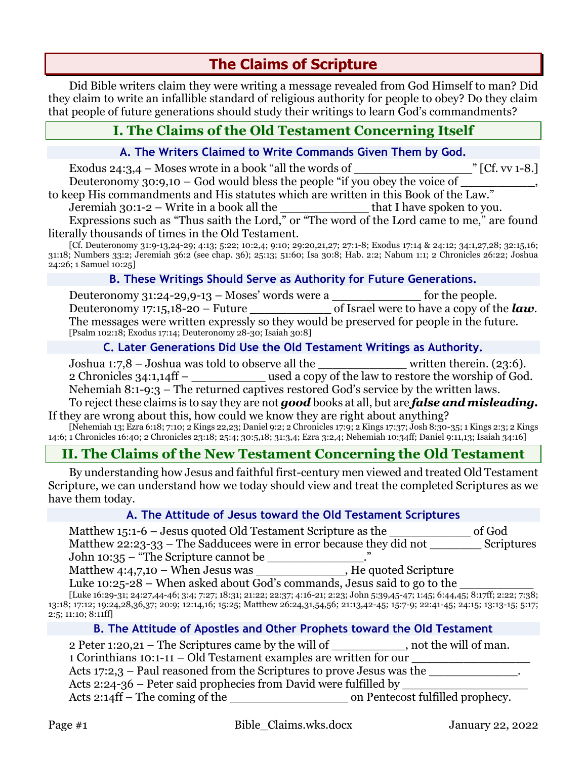# **The Claims of Scripture**

Did Bible writers claim they were writing a message revealed from God Himself to man? Did they claim to write an infallible standard of religious authority for people to obey? Do they claim that people of future generations should study their writings to learn God's commandments?

## **I. The Claims of the Old Testament Concerning Itself**

#### **A. The Writers Claimed to Write Commands Given Them by God.**

Exodus 24:3,4 – Moses wrote in a book "all the words of  $\Gamma$  [Cf. vv 1-8.] Deuteronomy  $30:9,10 - God$  would bless the people "if you obey the voice of

to keep His commandments and His statutes which are written in this Book of the Law."

Jeremiah 30:1-2 – Write in a book all the that I have spoken to you.

Expressions such as "Thus saith the Lord," or "The word of the Lord came to me," are found literally thousands of times in the Old Testament.

[Cf. Deuteronomy 31:9-13,24-29; 4:13; 5:22; 10:2,4; 9:10; 29:20,21,27; 27:1-8; Exodus 17:14 & 24:12; 34:1,27,28; 32:15,16; 31:18; Numbers 33:2; Jeremiah 36:2 (see chap. 36); 25:13; 51:60; Isa 30:8; Hab. 2:2; Nahum 1:1; 2 Chronicles 26:22; Joshua 24:26; 1 Samuel 10:25]

#### **B. These Writings Should Serve as Authority for Future Generations.**

Deuteronomy 31:24-29,9-13 – Moses' words were a **\_\_\_\_\_\_\_\_\_\_\_** for the people. Deuteronomy 17:15,18-20 – Future of Israel were to have a copy of the *law*. The messages were written expressly so they would be preserved for people in the future. [Psalm 102:18; Exodus 17:14; Deuteronomy 28-30; Isaiah 30:8]

#### **C. Later Generations Did Use the Old Testament Writings as Authority.**

Joshua 1:7,8 – Joshua was told to observe all the \_\_\_\_\_\_\_\_\_\_\_\_ written therein. (23:6). 2 Chronicles 34:1,14ff – \_\_\_\_\_\_\_\_\_\_ used a copy of the law to restore the worship of God.

Nehemiah 8:1-9:3 – The returned captives restored God's service by the written laws.

To reject these claims is to say they are not *good* books at all, but are *false and misleading.* If they are wrong about this, how could we know they are right about anything?

[Nehemiah 13; Ezra 6:18; 7:10; 2 Kings 22,23; Daniel 9:2; 2 Chronicles 17:9; 2 Kings 17:37; Josh 8:30-35; 1 Kings 2:3; 2 Kings 14:6; 1 Chronicles 16:40; 2 Chronicles 23:18; 25:4; 30:5,18; 31:3,4; Ezra 3:2,4; Nehemiah 10:34ff; Daniel 9:11,13; Isaiah 34:16]

## **II. The Claims of the New Testament Concerning the Old Testament**

By understanding how Jesus and faithful first-century men viewed and treated Old Testament Scripture, we can understand how we today should view and treat the completed Scriptures as we have them today.

#### **A. The Attitude of Jesus toward the Old Testament Scriptures**

| Matthew 15:1-6 – Jesus quoted Old Testament Scripture as the        | of God            |
|---------------------------------------------------------------------|-------------------|
| Matthew 22:23-33 – The Sadducees were in error because they did not | <b>Scriptures</b> |
| John 10:35 – "The Scripture cannot be                               |                   |

Matthew 4:4,7,10 – When Jesus was \_\_\_\_\_\_\_\_\_\_\_\_\_\_, He quoted Scripture

Luke  $10:25-28$  – When asked about God's commands, Jesus said to go to the

[Luke 16:29-31; 24:27,44-46; 3:4; 7:27; 18:31; 21:22; 22:37; 4:16-21; 2:23; John 5:39,45-47; 1:45; 6:44,45; 8:17ff; 2:22; 7:38; 13:18; 17:12; 19:24,28,36,37; 20:9; 12:14,16; 15:25; Matthew 26:24,31,54,56; 21:13,42-45; 15:7-9; 22:41-45; 24:15; 13:13-15; 5:17; 2:5; 11:10; 8:11ff]

#### **B. The Attitude of Apostles and Other Prophets toward the Old Testament**

| 2 Peter 1:20,21 – The Scriptures came by the will of | , not the will of man. |
|------------------------------------------------------|------------------------|
|------------------------------------------------------|------------------------|

1 Corinthians 10:1-11 – Old Testament examples are written for our

Acts  $17:2,3$  – Paul reasoned from the Scriptures to prove Jesus was the

Acts 2:24-36 – Peter said prophecies from David were fulfilled by

Acts 2:14ff – The coming of the  $\qquad \qquad$  on Pentecost fulfilled prophecy.